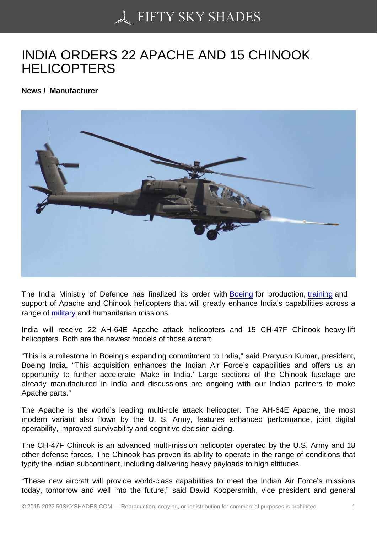## [INDIA ORDERS 22 AP](https://50skyshades.com)ACHE AND 15 CHINOOK **HELICOPTERS**

News / Manufacturer

The India Ministry of Defence has finalized its order with Boeing for production, training and support of Apache and Chinook helicopters that will greatly enhance India's capabilities across a range of military and humanitarian missions.

India will receive 22 AH-64E Apache attack helicopters [and 15](http://www.aviatime.com/en/commercial-aviation/commercial-aviation-news/manufacturers) CH-47F Chi[nook he](http://www.aviatime.com/en/commercial-aviation/commercial-aviation-news/training)avy-lift helicopt[ers. Both](http://www.aviatime.com/en/military) are the newest models of those aircraft.

"This is a milestone in Boeing's expanding commitment to India," said Pratyush Kumar, president, Boeing India. "This acquisition enhances the Indian Air Force's capabilities and offers us an opportunity to further accelerate 'Make in India.' Large sections of the Chinook fuselage are already manufactured in India and discussions are ongoing with our Indian partners to make Apache parts."

The Apache is the world's leading multi-role attack helicopter. The AH-64E Apache, the most modern variant also flown by the U. S. Army, features enhanced performance, joint digital operability, improved survivability and cognitive decision aiding.

The CH-47F Chinook is an advanced multi-mission helicopter operated by the U.S. Army and 18 other defense forces. The Chinook has proven its ability to operate in the range of conditions that typify the Indian subcontinent, including delivering heavy payloads to high altitudes.

"These new aircraft will provide world-class capabilities to meet the Indian Air Force's missions today, tomorrow and well into the future," said David Koopersmith, vice president and general